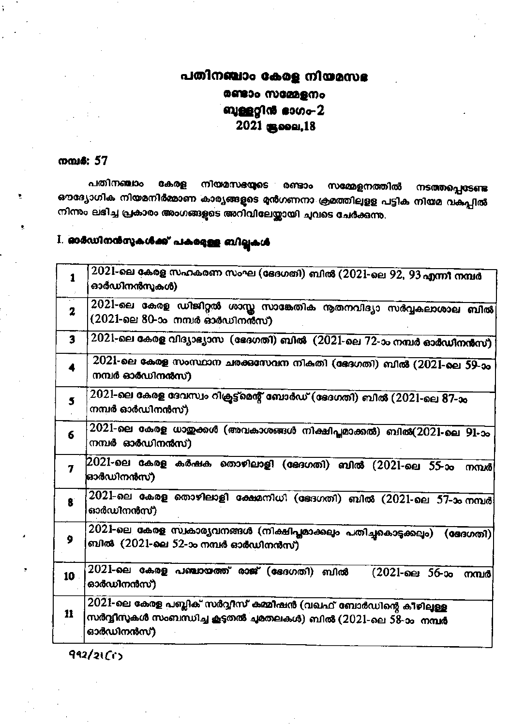### പതിനഞ്ചാം കേരള നിയമസഭ രണ്ടാം സമ്മേളനം ബുള്ളറ്റിൻ ഭാഗം-2 2021 (Boon, 18)

#### നമ്പ**6:** 57

പതിനഞ്ചാം കേരള നിയമസഭയുടെ രണ്ടാം സമ്മേളനത്തിൽ നടത്തപ്പെടേണ്ട ഔദ്യോഗിക നിയമനിർമ്മാണ കാര്യങ്ങളുടെ മൻഗണനാ ക്രമത്തിലുളള പട്ടിക നിയമ വകപ്പിൽ നിന്നും ലഭിച്ച പ്രകാരം അംഗങ്ങളുടെ അറിവിലേയ്ക്കായി ചുവടെ ചേർക്കുന്നു.

## I. ഓർഡിനൻസുകൾക്ക് പകളേള്ള ബില്ലുകൾ

| $\mathbf{1}$ | 2021-ലെ കേരള സഹകരണ സംഘ (ഭേദഗതി) ബിൽ (2021-ലെ 92, 93 എന്നീ നമ്പർ<br>ഓർഡിനൻസൂകൾ)                                                                  |
|--------------|-------------------------------------------------------------------------------------------------------------------------------------------------|
| $\mathbf{z}$ | 2021-ലെ കേരള ഡിജിറ്റൽ ശാസ്ത സാങ്കേതിക നൂതനവിദ്യാ സർവ്വകലാശാല ബിൽ<br>(2021-ലെ 80-ാം നമ്പർ ഓർഡിനൻസ്)                                              |
| 3            | $2021$ -ലെ കേരള വിദ്യാഭ്യാസ (ഭേദഗതി) ബിൽ $(2021$ -ലെ $72$ -ാം നമ്പർ ഓർഡിനൻസ്)                                                                   |
| 4            | 2021-ലെ കേരള സംസ്ഥാന ചരക്കസേവന നികതി (ഭേദഗതി) ബിൽ (2021-ലെ 59-ാം<br>നമ്പർ ഓർഡിനൻസ്)                                                             |
| 5            | 2021-ലെ കേരള ദേവസ്വം റിക്രട്ട്മെന്റ് ബോർഡ് (ഭേദഗതി) ബിൽ (2021-ലെ 87-ാം<br>നമ്പർ ഓർഡിനൻസ്)                                                       |
| 6            | $2021$ -ലെ കേരള ധായ്ക്കൾ (അവകാശങ്ങൾ നിക്ഷിപ്ലമാക്കൽ) ബിൽ( $2021$ -ലെ $91$ -ാം<br>നമ്പർ ഓർഡിനൻസ്)                                                |
| 7            | (2021-ലെ കേരള കർഷക തൊഴിലാളി (ഭേദഗതി) ബിൽ (2021-ലെ 55-ാം നമ്പർ<br>ഓർഡിനൻസ്)                                                                      |
| $\mathbf{g}$ | $2021$ -ലെ കേരള തൊഴിലാളി ക്ഷേമനിധി (ഭേദഗതി) ബിൽ ( $20\overline{21}$ -ലെ $57$ -ാം നമ്പർ<br>ഓർഡിനൻസ്)                                             |
| 9            | $2021$ -ലെ കേരള സ്വകാര്യവനങ്ങൾ (നിക്ഷിപ്പമാക്കലും പതിച്ചകൊടുക്കലും) (ഭേദഗതി)<br>ബിൽ  (2021-ലെ 52-ാം നമ്പർ ഓർഡിനൻസ്)                             |
| 10           | 2021-ലെ കേരള പഞ്ചായത്ത് രാജ് (ഭേദഗതി) ബിൽ<br>(2021-ലെ 56-ാം നമ്പർ)<br>ഓർഡിനൻസ്)                                                                 |
| 11           | 2021-ലെ കേരള പബ്ലിക് സർവ്വീസ് കമ്മീഷൻ (വഖഫ് ബോർഡിന്റെ കീഴിലുള്ള<br>സർവ്വീസുകൾ സംബന്ധിച്ച കൂടുതൽ ചുമതലകൾ) ബിൽ (2021-ലെ 58-ാം  നമ്പർ<br>ഓർഡിനൻസ്) |
|              |                                                                                                                                                 |

 $992/2101$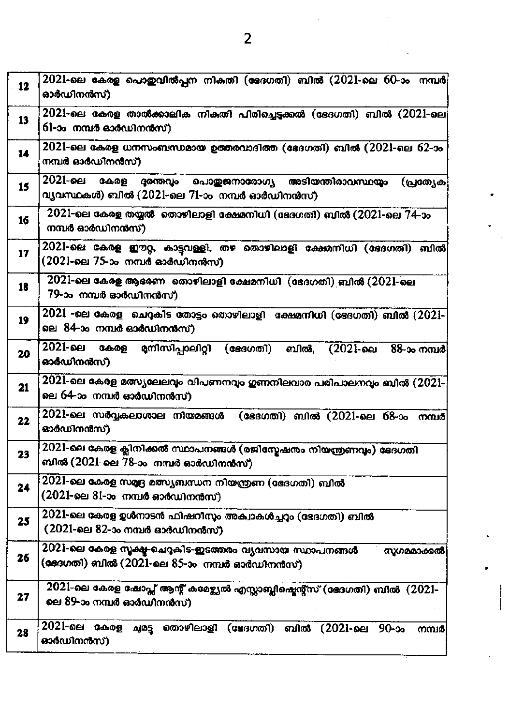| 12 | 2021-ലെ കേരള പൊഇവിൽപ്പന നികതി (ഭേദഗതി) ബിൽ (2021-ലെ 60-ാം  നമ്പർ $\,$<br>ഓർഡിനൻസ്)                                                    |
|----|---------------------------------------------------------------------------------------------------------------------------------------|
| 13 | 2021-ലെ കേരള താൽക്കാലിക നികതി പിരിച്ചെട്ടക്കൽ (ഭേദഗതി) ബിൽ (2021-ലെ)<br>61-ാം  നമ്പർ ഓർഡിനൻസ്)                                        |
| 14 | 2021-ലെ കേരള ധനസംബന്ധമായ ഉത്തരവാദിത്ത (ഭേദഗതി) ബിൽ (2021-ലെ 62-ാം<br>നമ്പർ ഓർഡിനൻസ്)                                                  |
| 15 | 2021-ലെ<br><b>C.A.O.B</b><br>ദരന്തവം<br>പൊതുജനാരോഗ്യ അടിയന്തിരാവസ്ഥയും<br>(പ്രത്യേക)<br>വ്യവസ്ഥകൾ) ബിൽ (2021-ലെ 71-ാം നമ്പർ ഓർഡിനൻസ്) |
| 16 | $2021$ -ലെ കേരള തയ്യൽ തൊഴിലാളി ക്ഷേമനിധി (ഭേദഗതി) ബിൽ ( $2021$ -ലെ $74$ -ാം<br>നമ്പർ ഓർഡിനൻസ്)                                        |
| 17 | 2021-ലെ കേരള ഈറ്റ, കാട്ടവള്ളി, തഴ തൊഴിലാളി ക്ഷേമനിധി (ഭേദഗതി) ബിൽ<br>(2021-ലെ 75-ാം നമ്പർ ഓർഡിനൻസ്)                                   |
| 18 | $2021$ -ലെ കേരള ആഭരണ -തൊഴിലാളി ക്ഷേമനിധി (ഭേദഗതി) ബിൽ (2021-ലെ<br>79-ാം നമ്പർ ഓർഡിനൻസ്)                                               |
| 19 | $2021$ -ലെ കേരള ചെറുകിട തോട്ടം തൊഴിലാളി  ക്ഷേമനിധി (ഭേദഗതി) ബിൽ ( $2021$ -<br>ലെ 84-ാം നമ്പർ ഓർഡിനൻസ്)                                |
| 20 | 2021-ലെ<br>കേരള<br>നിേസിപ്പാലിറ്റി (ഭേദഗതി)<br>ബിൽ, (2021-ലെ 88-ാം നമ്പർ)<br>ഓർഡിനൻസ്)                                                |
| 21 | $2021$ -ലെ കേരള മത്സ്യലേലവും വിപണനവും ഗുണനിലവാര പരിപാലനവും ബിൽ ( $2021\text{-}$<br>ലെ 64-ാം നമ്പർ ഓർഡിനൻസ്)                           |
| 22 | 2021-ലെ സർവ്വകലാശാല നിയമങ്ങൾ<br>(ഭേദഗതി) ബിൽ (2021-ലെ 68-ാം നമ്പർ<br>ഓർഡിനൻസ്)                                                        |
| 23 | 2021-ലെ കേരള ക്ലിനിക്കൽ സ്ഥാപനങ്ങൾ (രജിസ്മേഷനം നിയന്ത്രണവും) ഭേദഗതി<br>ബിൽ (2021-ലെ 78-ാം നമ്പർ ഓർഡിനൻസ്)                             |
| 24 | 2021-ലെ കേരള സമദ്ര മത്സ്യബന്ധന നിയന്ത്രണ (ഭേദഗതി) ബിൽ<br>(2021-ലെ 81-ാം നമ്പർ ഓർഡിനൻസ്)                                               |
| 25 | 2021-ലെ കേരള ഉൾനാടൻ ഫിഷറീസം അക്വാകൾച്ചറ്റം (ഭേദഗതി) ബിൽ<br>(2021-ലെ 82-ാം നമ്പർ ഓർഡിനൻസ്)                                             |
| 26 | 2021-ലെ കേരള സൂക്ഷ്ല-ചെറുകിട-ഇടത്തരം വ്യവസായ സ്ഥാപനങ്ങൾ<br>സഗമമാക്കൽ<br>(ജേഗതി) ബിൽ (2021-ലെ 85-ാം  നമ്പർ ഓർഡിനൻസ്)                   |
| 27 | 2021-ലെ കേരള ഷോപ്സ് ആന്റ് കമേഴ്ച്ചൽ എസ്സാബ്ലിഷ്പെന്റ്സ് (ഭേദഗതി) ബിൽ (2021-<br>ലെ 89-ാം നമ്പർ ഓർഡിനൻസ്)                               |
| 28 | 2021-ലെ കേരള<br>തൊഴിലാളി (ഭേദഗതി) ബിൽ (2021-ലെ 90-ാം<br>ചൂമട്ട<br>നമ്പർ<br>ഓർഡിനൻസ്)                                                  |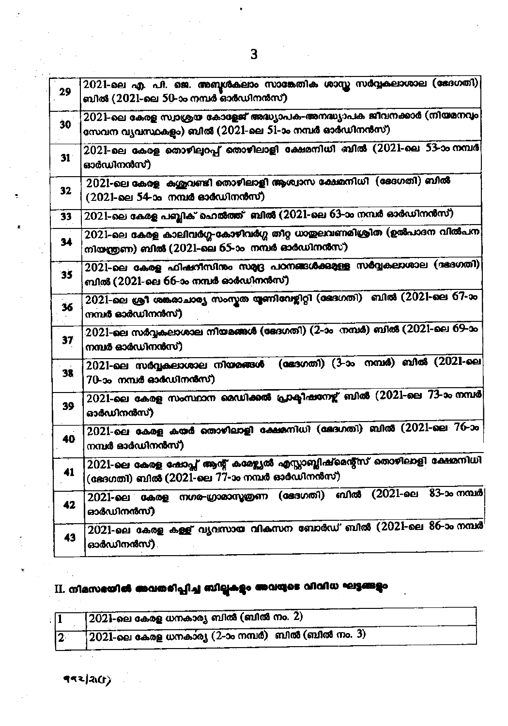| 29 | $2021$ -ലെ എ. പി. ജെ. അബൂൾകലാം സാങ്കേതിക ശാസ്ത സർവ്വകലാശാല (ഭേദഗതി)<br>ബിൽ (2021-ലെ 50-ാം നമ്പർ ഓർഡിനൻസ്)                     |
|----|-------------------------------------------------------------------------------------------------------------------------------|
| 30 | 2021-ലെ കേരള സ്വാശ്രയ കോളേജ് അദ്ധ്യാപക-അനദ്ധ്യാപക ജീവനക്കാർ (നിയമനവും)<br>സേവന വ്യവസ്ഥകളം) ബിൽ (2021-ലെ 51-ാം നമ്പർ ഓർഡിനൻസ്) |
| 31 | 2021-ലെ കേരള തൊഴില്പറപ്പ് തൊഴിലാളി ക്ഷേമനിധി ബിൽ (2021-ലെ 53-ാം നമ്പർ)<br>ഓർഡിനൻസ്)                                           |
| 32 | 2021-ലെ കേരള കശുവണ്ടി തൊഴിലാളി ആശ്വാസ ക്ഷേമനിധി (ഭേദഗതി) ബിൽ<br>(2021-ലെ 54-ാം നമ്പർ ഓർഡിനൻസ്)                                |
| 33 | 2021-ലെ കേരള പബ്ബിക് ഹെൽത്ത്  ബിൽ (2021-ലെ 63-ാം നമ്പർ ഓർഡിനൻസ്)                                                              |
| 34 | 2021-ലെ കേരള കാലിവർഗ്ഗ-കോഴിവർഗ്ഗ തീറ്റ ധാതുലവണമിശ്രിത (ഉൽപാദന വിൽപന<br>നിയന്ത്രണ) ബിൽ (2021-ലെ 65-ാം  നമ്പർ ഓർഡിനൻസ്)         |
| 35 | 2021-ലെ കേരള ഫിഷറീസിനും സമ്യദ്ദ പഠനങ്ങൾക്കുള്ള സർവ്വകലാശാല (ദ്ദദഗതി)<br>ബിൽ (2021-ലെ 66-ാം നമ്പർ ഓർഡിനൻസ്)                    |
| 36 | 2021-ലെ ശ്രീ ശങ്കരാചാര്യ സംസ്തത യൂണിവേഴ്ലിറ്റി (ഭേദഗതി) - ബിൽ (2021-ലെ 67-ാം<br>നമ്പർ ഓർഡിനൻസ്)                               |
| 37 | 2021-ലെ സർവ്വകലാശാല നിയമങ്ങൾ (ഭേദഗതി) (2-ാം നമ്പർ) ബിൽ (2021-ലെ 69-ാം<br>നമ്പർ ഓർഡിനൻസ്).                                     |
| 38 | (ഭേദഗതി) (3-ാം നമ്പർ) ബിൽ (2021-ലെ<br>2021-ലെ സർവ്വകലാശാല നിയമങ്ങൾ<br>70-ാം നമ്പർ ഓർഡിനൻസ്)                                   |
| 39 | 2021-ലെ കേരള സംസ്ഥാന രെഡിക്കൽ പ്രാക്ടിഷനേഴ്ച് ബിൽ (2021-ലെ 73-ാം നമ്പർ)<br>ഓരഡിനൻസ്)                                          |
| 40 | $2021$ -ലെ കേരള കയർ തൊഴിലാളി ക്ഷേമനിധി (ഭേദഗതി) ബിൽ ( $2021$ -ലെ $76$ -ാം<br>നമ്പർ ഓർഡിനൻസ്)                                  |
| 41 | 2021-ലെ കേരള ഷോപ്സ് ആന്റ് കമേഴ്ച്ചൽ എസ്സാബ്ലിഷ്മെന്റ്സ് തൊഴിലാളി ക്ഷേമനിധി<br>(ഭേദഗതി) ബിൽ (2021-ലെ 77-ാം നമ്പർ ഓർഡിനൻസ്)     |
| 42 | $2021$ -ലെ കേരള നഗര-ഗ്രാമാസൃത്രണ (ഭേദഗതി) ബിൽ ( $2021$ -ലെ $83$ -ാം നമ്പർ<br>ഓർഡിനൻസ്)                                        |
| 43 | 2021-ലെ കേരള കള്ള് വൃവസായ വികസന ബോർഡ് ബിൽ (2021-ലെ 86-ാം നമ്പർ<br>ഓർഡിനൻസ്) .                                                 |
|    |                                                                                                                               |

# $\,$ II. നിമസഭയിൽ അവതരിപ്പിച്ച ബില്ലുകളും അവയുടെ വിവിധ ഘട്ടങ്ങളും

|     | $\sim$ $\mid$ $\overline{2021}$ -ലെ കേരള ധനകാര്യ ബിൽ (ബിൽ നം. $\overline{2})$ |
|-----|-------------------------------------------------------------------------------|
| 12. | 2021-ലെ കേരള ധനകാര്യ (2-ാം നമ്പർ) ബിൽ (ബിൽ നം. 3)                             |

 $\mathcal{O}(2\pi\log n)$  $\left( \frac{1}{2} \right)$   $\ddot{\phantom{0}}$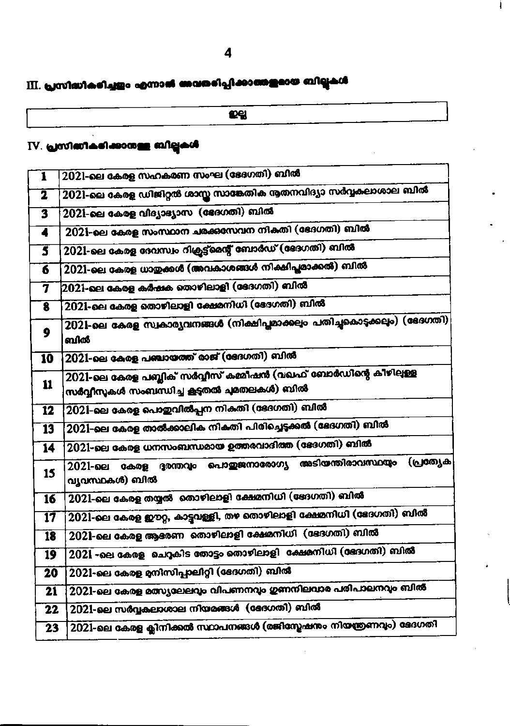# III. പ്രസിദ്ധീകരിച്ചളം എന്നാൽ അവതരിപ്പിക്കാത്തളമായ ബില്ലുകൾ

.<br>Eg

### IV. പ്രസിബീകഭിക്കാനുള്ള ബില്ലകൾ

| ī                       | 2021-ലെ കേരള സഹകരണ സംഘ (ഭേദഗതി) ബിൽ                                                                          |  |
|-------------------------|--------------------------------------------------------------------------------------------------------------|--|
| $\overline{\mathbf{2}}$ | 2021-ലെ കേരള ഡിജിറ്റൽ ശാസ്ത സാങ്കേതിക നൂതനവിദ്യാ സർവ്വകലാശാല ബിൽ                                             |  |
| 3                       | 2021-ലെ കേരള വിദ്യാഭ്യാസ (ഭേദഗതി) ബിൽ                                                                        |  |
| $\blacktriangleleft$    | 2021-ലെ കേരള സംസ്ഥാന ചരക്കസേവന നികതി (ഭേദഗതി) ബിൽ                                                            |  |
| 3                       | 2021-ലെ കേരള ദേവസ്വം റിക്രൂട്ട്മെന്റ് ബോർഡ് (ദേദഗതി) ബിൽ                                                     |  |
| 6                       | 2021-ലെ കേരള ധാതുക്കൾ (അവകാശങ്ങൾ നിക്ഷിപ്പമാക്കൽ) ബിൽ                                                        |  |
| $\overline{\mathbf{z}}$ | 2021-ലെ കേരള കർഷക തൊഴിലാളി (ദേദഗതി) ബിൽ                                                                      |  |
| 8                       | 2021-ലെ കേരള തൊഴിലാളി ക്ഷേമനിധി (ദേഗതി) ബിൽ                                                                  |  |
| 9                       | 2021-ലെ കേരള സ്വകാര്യവനങ്ങൾ (നിക്ഷിപ്പമാക്കലും പതിച്ചകൊടുക്കലും) (ഭേദഗതി)<br>ബിൽ                             |  |
| 10                      | 2021-ലെ കേരള പഞ്ചായത്ത് രാജ് (ഭേദഗതി) ബിൽ                                                                    |  |
| 11                      | 2021-ലെ കേരള പബ്ലിക് സർവ്വീസ് കമ്മീഷൻ (വഖഫ് ബോർഡിന്റെ കീഴിലുള്ള<br>സർവ്വീസുകൾ സംബന്ധിച്ച കൂടുതൽ ചുമതലകൾ) ബിൽ |  |
| 12                      | 2021-ലെ കേരള പൊഇവിൽപ്പന നികതി (ഭേദഗതി) ബിൽ                                                                   |  |
| $\overline{13}$         | 2021-ലെ കേരള താൽക്കാലിക നികതി പിരിച്ചെടുക്കൽ (ഭേദഗതി) ബിൽ                                                    |  |
| 14                      | 2021-ലെ കേരള ധനസംബന്ധമായ ഉത്തരവാദിത്ത (ഭോഗതി) ബിൽ                                                            |  |
| 15                      | കേരള ദുരന്തവും പൊതുജനാരോഗ്യ അടിയന്തിരാവസ്ഥയും (പ്രത്യേക<br>2021-ലെ<br>വൃവസ്ഥകൾ) ബിൽ                          |  |
| 16                      | 2021-ലെ കേരള തയ്യൽ  തൊഴിലാളി ക്ഷേമനിധി (ഭേദഗതി) ബിൽ                                                          |  |
| 17                      | 2021-ലെ കേരള ഈറ്റ, കാട്ടവള്ളി, തഴ തൊഴിലാളി ക്ഷേമനിധി (ഭേദഗതി) ബിൽ                                            |  |
| $\overline{18}$         | 2021-ലെ കേരള ആഭരണ  തൊഴിലാളി ക്ഷേമനിധി  (ഭേദഗതി) ബിൽ                                                          |  |
| 19                      | 2021 -ലെ കേരള ചെറുകിട തോട്ടം തൊഴിലാളി  ക്ഷേമനിധി (ഭേദഗതി) ബിൽ                                                |  |
| 20                      | 2021-ലെ കേരള മനിസിപ്പാലിറ്റി (ഭേദഗതി) ബിൽ                                                                    |  |
| 21                      | 2021-ലെ കേരള മത്സ്യലേലവും വിപണനവും ഗുണനിലവാര പരിപാലനവും ബിൽ                                                  |  |
| 22                      | 2021-ലെ സർവ്വകലാശാല നിയമങ്ങൾ (ഭേദഗതി) ബിൽ                                                                    |  |
| 23                      | 2021-ലെ കേരള ക്ലിനിക്കൽ സ്ഥാപനങ്ങൾ (രജിസ്മേഷനം നിയന്ത്രണവും) ഭേദഗതി                                          |  |

İ.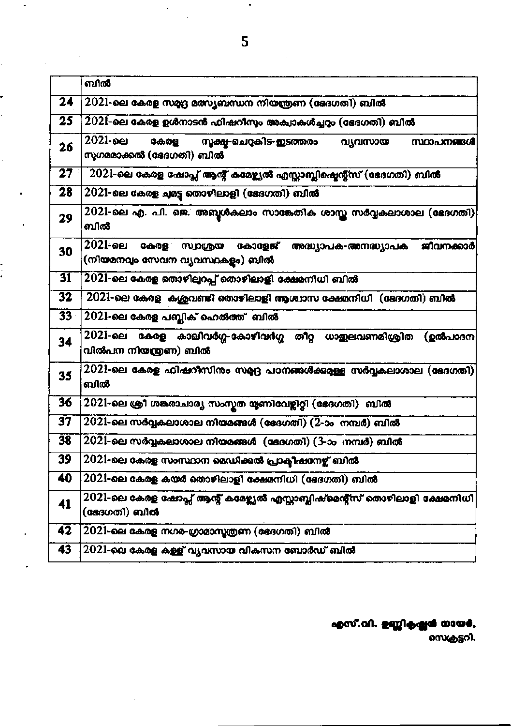|                 | ബിൽ                                                                                                          |  |  |
|-----------------|--------------------------------------------------------------------------------------------------------------|--|--|
| 24              | 2021-ലെ കേരള സമ്യദ്ദ മത്സ്യബന്ധന നിയന്ത്രണ (ഭേദഗതി) ബിൽ                                                      |  |  |
| $\overline{25}$ | 2021-ലെ കേരള ഉൾനാടൻ ഫിഷറീസും അക്യാകൾച്ചറ്റം (ഭേദഗതി) ബിൽ                                                     |  |  |
| 26              | 2021-ലെ<br>സൂക്ഷ-ചെറുകിട-ഇടത്തരം<br>കേരള<br>വ്യവസായ<br>സ്ഥാപനങ്ങൾ<br>സുഗമമാക്കൽ (ഭേദഗതി) ബിൽ                 |  |  |
| 27              | 2021-ലെ കേരള ഷോപ്സ് ആന്റ് കമേഴ്ച്ചൽ എസ്സാബ്ലിഷ്ടെന്റ്സ് (ഭേദഗതി) ബിൽ                                         |  |  |
| 28              | 2021-ലെ കേരള ചുമട്ട തൊഴിലാളി (ഭേദഗതി) ബിൽ                                                                    |  |  |
| 29              | 2021-ലെ എ. പി. ജെ. അബൂൾകലാം സാങ്കേതിക ശാസ്ത സർവ്വകലാശാല (ഭേദഗതി)<br>ബിൽ                                      |  |  |
| 30              | 2021-ലെ<br>കേരള<br>കോളേജ്<br>സ്വാശ്രയ<br>ജീവനക്കാർ<br>അദ്ധ്യാപക-അനദ്ധ്യാപക<br>(നിയമനവും സേവന വ്യവസ്ഥകളം) ബിൽ |  |  |
| 31              | 2021-ലെ കേരള തൊഴിലുറപ്പ് തൊഴിലാളി ക്ഷേമനിധി ബിൽ                                                              |  |  |
| 32              | 2021-ലെ കേരള കശുവണ്ടി തൊഴിലാളി ആശ്വാസ ക്ഷേമനിധി (ഭേദഗതി) ബിൽ                                                 |  |  |
| $33 -$          | 2021-ലെ കേരള പബ്ലിക് ഹെൽത്ത്  ബിൽ                                                                            |  |  |
| 34              | 2021-ലെ<br>കേരള കാലിവർഗ്ഗ-കോഴിവർഗ്ഗ തീറ്റ ധാതുലവണമിശ്രിത<br>(ഉൽപാദന<br>വിൽപന നിയന്ത്രണ) ബിൽ                  |  |  |
| 35              | 2021-ലെ കേരള ഫിഷറീസിനം സമ്യദ്ദ പഠനങ്ങൾക്കുമുള്ള സർവ്വകലാശാല (ഭേദഗതി)<br>ബിൽ                                  |  |  |
| 36              | 2021-ലെ ശ്രീ ശങ്കരാചാര്യ സംസ്കത യൂണിവേഴ്ലിറ്റി (ഭേദഗതി) ബിൽ                                                  |  |  |
| $\overline{37}$ | 2021-ലെ സർവ്വകലാശാല നിയമങ്ങൾ (ഭേദഗതി) (2-ാം നമ്പർ) ബിൽ                                                       |  |  |
| 38              | 2021-ലെ സർവ്വകലാശാല നിയമങ്ങൾ (ഭേദഗതി) (3-ാം നമ്പർ) ബിൽ                                                       |  |  |
| 39              | 2021-ലെ കേരള സംസ്ഥാന മെഡിക്കൽ പ്രാക്ടീഷനേഴ്ച് ബിൽ                                                            |  |  |
| 40              | 2021-ലെ കേരള കയർ തൊഴിലാളി ക്ഷേമനിധി (ഭേദഗതി) ബിൽ                                                             |  |  |
| 41              | 2021-ലെ കേരള ഷോപ്സ് ആന്റ് കമേഴ്ച്ചൽ എസ്ലാബ്ലിഷ്മെന്റ്സ് തൊഴിലാളി ക്ഷേമനിധി<br>(ദേേഗതി) ബിൽ                   |  |  |
| 42              | 2021-ലെ കേരള നഗര-ഗ്രാമാസ്യത്രണ (ഭേദഗതി) ബിൽ                                                                  |  |  |
| 43              | 2021-ലെ കേരള കള്ള് വ്യവസായ വികസന ബോർഡ് ബിൽ                                                                   |  |  |
|                 |                                                                                                              |  |  |

എസ്.വി. ഉണ്ണികഷ്ണൻ നായർ,

.<br>`സെക്രട്ടറി.

 $\bullet$ 

÷,

. ć

 $\ddot{\cdot}$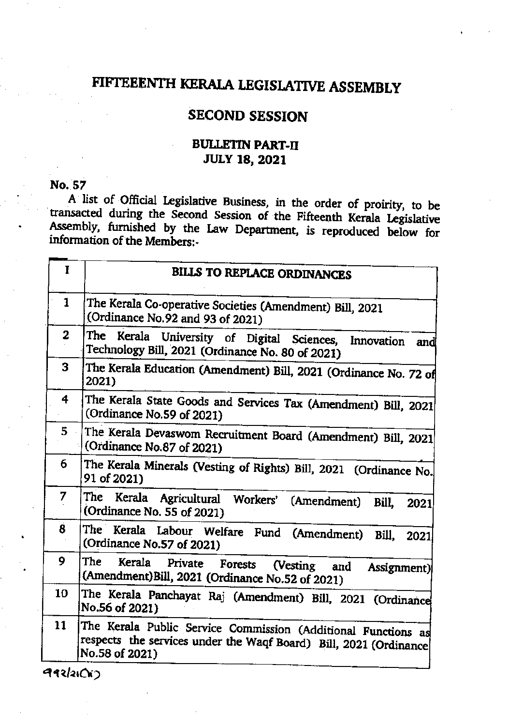## FIFTEEENTH KERALA LEGISLATIVE ASSEMBLY

### **SECOND SESSION**

### **BULLETIN PART-II JULY 18, 2021**

#### No. 57

A list of Official Legislative Business, in the order of proirity, to be transacted during the Second Session of the Fifteenth Kerala Legislative Assembly, furnished by the Law Department, is reproduced below for information of the Members:-

| I            | <b>BILLS TO REPLACE ORDINANCES</b>                                                                                                                   |
|--------------|------------------------------------------------------------------------------------------------------------------------------------------------------|
| 1            | The Kerala Co-operative Societies (Amendment) Bill, 2021<br>(Ordinance No.92 and 93 of 2021)                                                         |
| $\mathbf{z}$ | The Kerala University of Digital Sciences, Innovation and<br>Technology Bill, 2021 (Ordinance No. 80 of 2021)                                        |
| 3            | The Kerala Education (Amendment) Bill, 2021 (Ordinance No. 72 of<br>2021)                                                                            |
| 4            | The Kerala State Goods and Services Tax (Amendment) Bill, 2021<br>(Ordinance No.59 of 2021)                                                          |
| 5.           | The Kerala Devaswom Recruitment Board (Amendment) Bill, 2021<br>(Ordinance No.87 of 2021)                                                            |
| 6            | The Kerala Minerals (Vesting of Rights) Bill, 2021 (Ordinance No.<br>91 of 2021)                                                                     |
| 7            | The Kerala Agricultural Workers' (Amendment)<br>Bill, 2021<br>(Ordinance No. 55 of 2021)                                                             |
| $\bf{8}$     | The Kerala Labour Welfare Fund (Amendment) Bill, 2021<br>(Ordinance No.57 of 2021)                                                                   |
| 9            | The<br>Kerala Private Forests<br>(Vesting and<br>Assignment)<br>(Amendment)Bill, 2021 (Ordinance No.52 of 2021)                                      |
| 10           | The Kerala Panchayat Raj (Amendment) Bill, 2021 (Ordinance<br>No.56 of 2021)                                                                         |
| 11           | The Kerala Public Service Commission (Additional Functions as<br>respects the services under the Waqf Board) Bill, 2021 (Ordinance<br>No.58 of 2021) |

992/21Ch3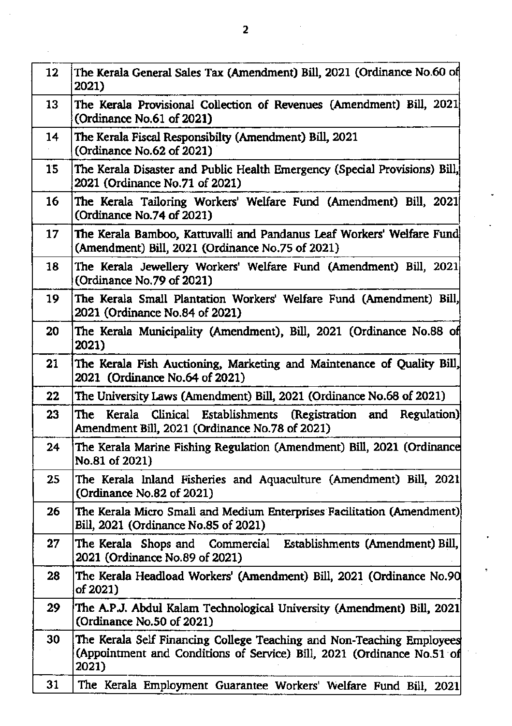| 12 <sup>2</sup> | The Kerala General Sales Tax (Amendment) Bill, 2021 (Ordinance No.60 of<br>2021)                                                                         |
|-----------------|----------------------------------------------------------------------------------------------------------------------------------------------------------|
| 13              | The Kerala Provisional Collection of Revenues (Amendment) Bill, 2021<br>(Ordinance No.61 of 2021)                                                        |
| 14              | The Kerala Fiscal Responsibilty (Amendment) Bill, 2021<br>(Ordinance No.62 of 2021)                                                                      |
| 15              | The Kerala Disaster and Public Health Emergency (Special Provisions) Bill,<br>2021 (Ordinance No.71 of 2021)                                             |
| 16              | The Kerala Tailoring Workers' Welfare Fund (Amendment) Bill, 2021<br>(Ordinance No.74 of 2021)                                                           |
| 17              | The Kerala Bamboo, Kattuvalli and Pandanus Leaf Workers' Welfare Fund<br>(Amendment) Bill, 2021 (Ordinance No.75 of 2021)                                |
| 18              | The Kerala Jewellery Workers' Welfare Fund (Amendment) Bill, 2021<br>(Ordinance No.79 of 2021)                                                           |
| 19              | The Kerala Small Plantation Workers' Welfare Fund (Amendment) Bill,<br>2021 (Ordinance No.84 of 2021)                                                    |
| 20              | The Kerala Municipality (Amendment), Bill, 2021 (Ordinance No.88 of<br>2021)                                                                             |
| 21              | The Kerala Fish Auctioning, Marketing and Maintenance of Quality Bill,<br>2021 (Ordinance No.64 of 2021)                                                 |
| 22              | The University Laws (Amendment) Bill, 2021 (Ordinance No.68 of 2021)                                                                                     |
| 23              | Clinical Establishments (Registration and Regulation)<br>Kerala<br>The<br>Amendment Bill, 2021 (Ordinance No.78 of 2021)                                 |
| 24              | The Kerala Marine Fishing Regulation (Amendment) Bill, 2021 (Ordinance<br>No.81 of 2021)                                                                 |
| 25              | The Kerala Inland Fisheries and Aquaculture (Amendment) Bill, 2021<br>(Ordinance No.82 of 2021)                                                          |
| 26              | The Kerala Micro Small and Medium Enterprises Facilitation (Amendment)<br>Bill, 2021 (Ordinance No.85 of 2021)                                           |
| 27              | The Kerala Shops and Commercial<br>Establishments (Amendment) Bill,<br>2021 (Ordinance No.89 of 2021)                                                    |
| 28              | The Kerala Headload Workers' (Amendment) Bill, 2021 (Ordinance No.90<br>of 2021)                                                                         |
| 29              | The A.P.J. Abdul Kalam Technological University (Amendment) Bill, 2021<br>(Ordinance No.50 of 2021)                                                      |
| 30              | The Kerala Self Financing College Teaching and Non-Teaching Employees<br>(Appointment and Conditions of Service) Bill, 2021 (Ordinance No.51 of<br>2021) |
| 31              | The Kerala Employment Guarantee Workers' Welfare Fund Bill, 2021                                                                                         |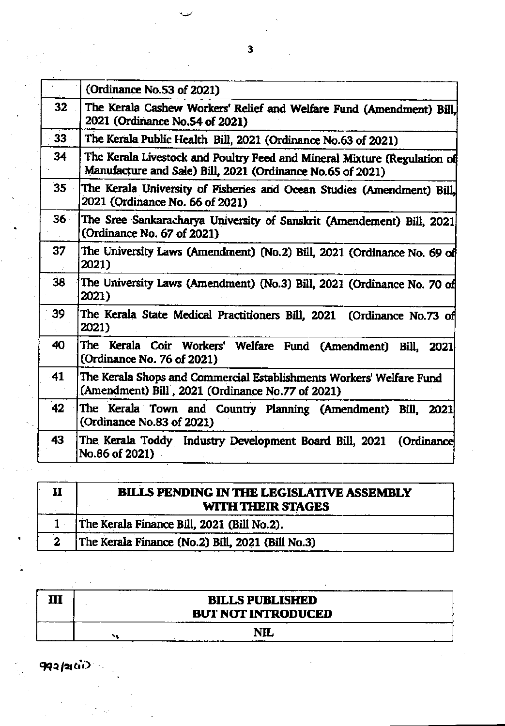|        | (Ordinance No.53 of 2021)                                                                                                              |
|--------|----------------------------------------------------------------------------------------------------------------------------------------|
| 32     | The Kerala Cashew Workers' Relief and Welfare Fund (Amendment) Bill,<br>2021 (Ordinance No.54 of 2021)                                 |
| 33     | The Kerala Public Health Bill, 2021 (Ordinance No.63 of 2021)                                                                          |
| 34     | The Kerala Livestock and Poultry Feed and Mineral Mixture (Regulation of<br>Manufacture and Sale) Bill, 2021 (Ordinance No.65 of 2021) |
| 35     | The Kerala University of Fisheries and Ocean Studies (Amendment) Bill,<br>2021 (Ordinance No. 66 of 2021)                              |
| $36 -$ | The Sree Sankaracharya University of Sanskrit (Amendement) Bill, 2021<br>(Ordinance No. 67 of 2021)                                    |
| 37     | The University Laws (Amendment) (No.2) Bill, 2021 (Ordinance No. 69 of<br>2021)                                                        |
| 38     | The University Laws (Amendment) (No.3) Bill, 2021 (Ordinance No. 70 of<br>2021)                                                        |
| 39     | The Kerala State Medical Practitioners Bill, 2021 (Ordinance No.73 of<br>2021)                                                         |
| 40     | The Kerala Coir Workers' Welfare Fund (Amendment) Bill, 2021<br>(Ordinance No. 76 of 2021)                                             |
| 41     | The Kerala Shops and Commercial Establishments Workers' Welfare Fund<br>(Amendment) Bill, 2021 (Ordinance No.77 of 2021)               |
| 42     | The Kerala Town and Country Planning (Amendment) Bill, 2021<br>(Ordinance No.83 of 2021)                                               |
| 43     | The Kerala Toddy Industry Development Board Bill, 2021<br>(Ordinance<br>No.86 of 2021)                                                 |

| <b>BILLS PENDING IN THE LEGISLATIVE ASSEMBLY</b><br>WITH THEIR STAGES |
|-----------------------------------------------------------------------|
| The Kerala Finance Bill, 2021 (Bill No.2).                            |
| The Kerala Finance (No.2) Bill, 2021 (Bill No.3)                      |

|  | <b>BILLS PUBLISHED</b><br><b>BUT NOT INTRODUCED</b> |  |
|--|-----------------------------------------------------|--|
|  | NIL.                                                |  |

**992/2**100

 $\overline{\mathbf{3}}$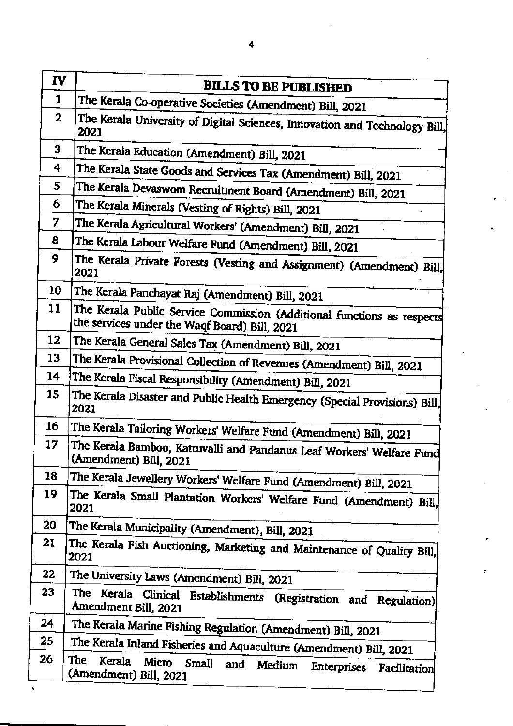| IV           | <b>BILLS TO BE PUBLISHED</b>                                                                                            |  |
|--------------|-------------------------------------------------------------------------------------------------------------------------|--|
| 1            | The Kerala Co-operative Societies (Amendment) Bill, 2021                                                                |  |
| $\mathbf{2}$ | The Kerala University of Digital Sciences, Innovation and Technology Bill,<br>2021                                      |  |
| 3            | The Kerala Education (Amendment) Bill, 2021                                                                             |  |
| 4            | The Kerala State Goods and Services Tax (Amendment) Bill, 2021                                                          |  |
| 5            | The Kerala Devaswom Recruitment Board (Amendment) Bill, 2021                                                            |  |
| 6            | The Kerala Minerals (Vesting of Rights) Bill, 2021                                                                      |  |
| 7            | The Kerala Agricultural Workers' (Amendment) Bill, 2021                                                                 |  |
| 8            | The Kerala Labour Welfare Fund (Amendment) Bill, 2021                                                                   |  |
| 9            | The Kerala Private Forests (Vesting and Assignment) (Amendment) Bill,<br>2021                                           |  |
| 10           | The Kerala Panchayat Raj (Amendment) Bill, 2021                                                                         |  |
| 11           | The Kerala Public Service Commission (Additional functions as respects<br>the services under the Waqf Board) Bill, 2021 |  |
| 12           | The Kerala General Sales Tax (Amendment) Bill, 2021                                                                     |  |
| 13           | The Kerala Provisional Collection of Revenues (Amendment) Bill, 2021                                                    |  |
| 14           | The Kerala Fiscal Responsibility (Amendment) Bill, 2021                                                                 |  |
| 15           | The Kerala Disaster and Public Health Emergency (Special Provisions) Bill,<br>2021                                      |  |
| 16           | The Kerala Tailoring Workers' Welfare Fund (Amendment) Bill, 2021                                                       |  |
| 17           | The Kerala Bamboo, Kattuvalli and Pandanus Leaf Workers' Welfare Fund<br>(Amendment) Bill, 2021                         |  |
| 18           | The Kerala Jewellery Workers' Welfare Fund (Amendment) Bill, 2021                                                       |  |
| 19           | The Kerala Small Plantation Workers' Welfare Fund (Amendment) Bill,<br>2021                                             |  |
| 20           | The Kerala Municipality (Amendment), Bill, 2021                                                                         |  |
| 21           | The Kerala Fish Auctioning, Marketing and Maintenance of Quality Bill,<br>2021                                          |  |
| 22           | The University Laws (Amendment) Bill, 2021                                                                              |  |
| 23           | The Kerala Clinical Establishments (Registration and Regulation)<br>Amendment Bill, 2021                                |  |
| 24           | The Kerala Marine Fishing Regulation (Amendment) Bill, 2021                                                             |  |
| 25           | The Kerala Inland Fisheries and Aquaculture (Amendment) Bill, 2021                                                      |  |
| 26           | The<br>Kerala<br>Micro<br>Small<br>and<br>Medium Enterprises Facilitation<br>(Amendment) Bill, 2021                     |  |

÷.